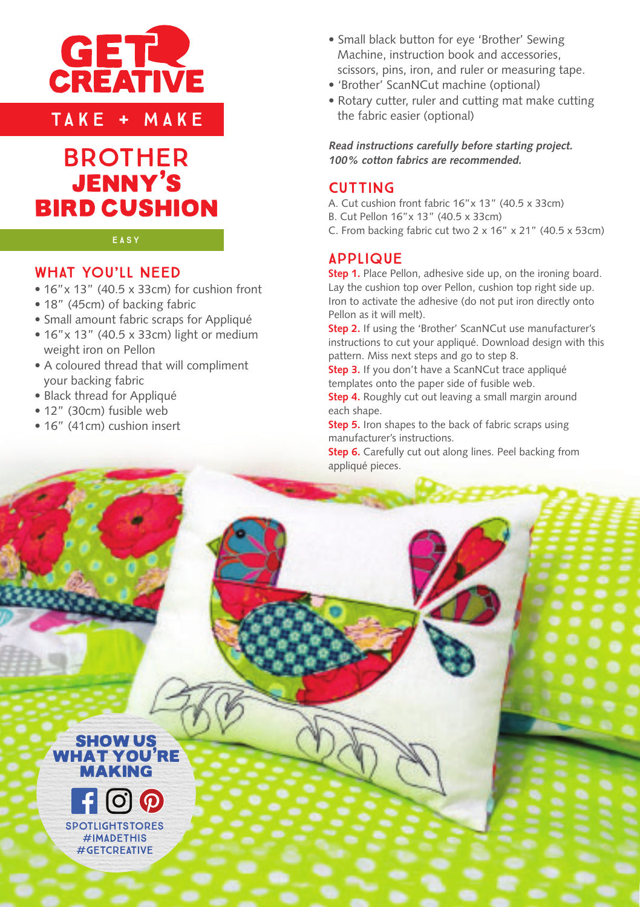

TAKE + MAKE



#### EASY

## WHAT YOU'LL NEED

- 16"x 13" (40.5 x 33cm) for cushion front
- 18" (45cm) of backing fabric
- Small amount fabric scraps for Appliqué
- 16"x 13" (40.5 x 33cm) light or medium weight iron on Pellon
- A coloured thread that will compliment your backing fabric
- Black thread for Appliqué
- 12" (30cm) fusible web
- 16" (41cm) cushion insert
- Small black button for eye 'Brother' Sewing Machine, instruction book and accessories, scissors, pins, iron, and ruler or measuring tape.
- 'Brother' ScanNCut machine (optional)
- Rotary cutter, ruler and cutting mat make cutting the fabric easier (optional)

**Read instructions carefully before starting project. 100% cotton fabrics are recommended.** 

### CUTTING

- A. Cut cushion front fabric 16"x 13" (40.5 x 33cm)
- B. Cut Pellon 16"x 13" (40.5 x 33cm)
- C. From backing fabric cut two 2 x 16" x 21" (40.5 x 53cm)

# **APPLIQUE**

**Step 1.** Place Pellon, adhesive side up, on the ironing board. Lay the cushion top over Pellon, cushion top right side up. Iron to activate the adhesive (do not put iron directly onto Pellon as it will melt).

**Step 2.** If using the 'Brother' ScanNCut use manufacturer's instructions to cut your appliqué. Download design with this pattern. Miss next steps and go to step 8.

**Step 3.** If you don't have a ScanNCut trace appliqué templates onto the paper side of fusible web.

**Step 4.** Roughly cut out leaving a small margin around each shape.

**Step 5.** Iron shapes to the back of fabric scraps using manufacturer's instructions.

**Step 6.** Carefully cut out along lines. Peel backing from appliqué pieces.